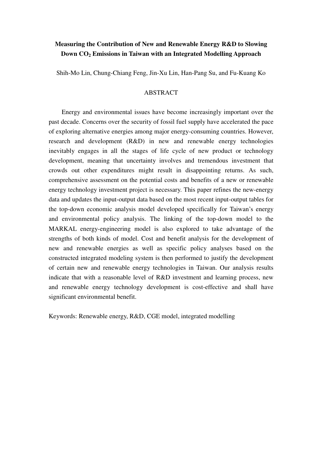# **Measuring the Contribution of New and Renewable Energy R&D to Slowing Down CO2 Emissions in Taiwan with an Integrated Modelling Approach**

Shih-Mo Lin, Chung-Chiang Feng, Jin-Xu Lin, Han-Pang Su, and Fu-Kuang Ko

#### ABSTRACT

Energy and environmental issues have become increasingly important over the past decade. Concerns over the security of fossil fuel supply have accelerated the pace of exploring alternative energies among major energy-consuming countries. However, research and development (R&D) in new and renewable energy technologies inevitably engages in all the stages of life cycle of new product or technology development, meaning that uncertainty involves and tremendous investment that crowds out other expenditures might result in disappointing returns. As such, comprehensive assessment on the potential costs and benefits of a new or renewable energy technology investment project is necessary. This paper refines the new-energy data and updates the input-output data based on the most recent input-output tables for the top-down economic analysis model developed specifically for Taiwan's energy and environmental policy analysis. The linking of the top-down model to the MARKAL energy-engineering model is also explored to take advantage of the strengths of both kinds of model. Cost and benefit analysis for the development of new and renewable energies as well as specific policy analyses based on the constructed integrated modeling system is then performed to justify the development of certain new and renewable energy technologies in Taiwan. Our analysis results indicate that with a reasonable level of R&D investment and learning process, new and renewable energy technology development is cost-effective and shall have significant environmental benefit.

Keywords: Renewable energy, R&D, CGE model, integrated modelling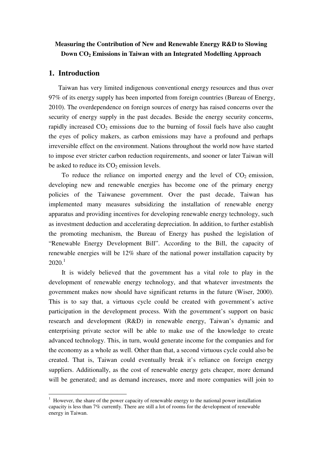# **Measuring the Contribution of New and Renewable Energy R&D to Slowing Down CO2 Emissions in Taiwan with an Integrated Modelling Approach**

# **1. Introduction**

 $\overline{a}$ 

Taiwan has very limited indigenous conventional energy resources and thus over 97% of its energy supply has been imported from foreign countries (Bureau of Energy, 2010). The overdependence on foreign sources of energy has raised concerns over the security of energy supply in the past decades. Beside the energy security concerns, rapidly increased  $CO<sub>2</sub>$  emissions due to the burning of fossil fuels have also caught the eyes of policy makers, as carbon emissions may have a profound and perhaps irreversible effect on the environment. Nations throughout the world now have started to impose ever stricter carbon reduction requirements, and sooner or later Taiwan will be asked to reduce its  $CO<sub>2</sub>$  emission levels.

To reduce the reliance on imported energy and the level of  $CO<sub>2</sub>$  emission, developing new and renewable energies has become one of the primary energy policies of the Taiwanese government. Over the past decade, Taiwan has implemented many measures subsidizing the installation of renewable energy apparatus and providing incentives for developing renewable energy technology, such as investment deduction and accelerating depreciation. In addition, to further establish the promoting mechanism, the Bureau of Energy has pushed the legislation of "Renewable Energy Development Bill". According to the Bill, the capacity of renewable energies will be 12% share of the national power installation capacity by  $2020<sup>1</sup>$ 

It is widely believed that the government has a vital role to play in the development of renewable energy technology, and that whatever investments the government makes now should have significant returns in the future (Wiser, 2000). This is to say that, a virtuous cycle could be created with government's active participation in the development process. With the government's support on basic research and development (R&D) in renewable energy, Taiwan's dynamic and enterprising private sector will be able to make use of the knowledge to create advanced technology. This, in turn, would generate income for the companies and for the economy as a whole as well. Other than that, a second virtuous cycle could also be created. That is, Taiwan could eventually break it's reliance on foreign energy suppliers. Additionally, as the cost of renewable energy gets cheaper, more demand will be generated; and as demand increases, more and more companies will join to

 $1$  However, the share of the power capacity of renewable energy to the national power installation capacity is less than 7% currently. There are still a lot of rooms for the development of renewable energy in Taiwan.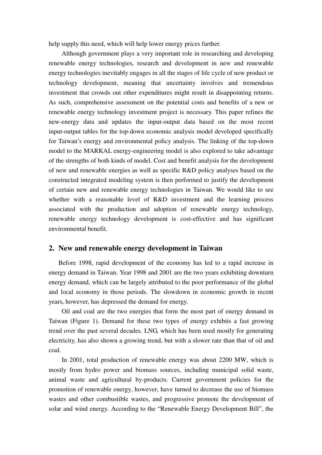help supply this need, which will help lower energy prices further.

Although government plays a very important role in researching and developing renewable energy technologies, research and development in new and renewable energy technologies inevitably engages in all the stages of life cycle of new product or technology development, meaning that uncertainty involves and tremendous investment that crowds out other expenditures might result in disappointing returns. As such, comprehensive assessment on the potential costs and benefits of a new or renewable energy technology investment project is necessary. This paper refines the new-energy data and updates the input-output data based on the most recent input-output tables for the top-down economic analysis model developed specifically for Taiwan's energy and environmental policy analysis. The linking of the top-down model to the MARKAL energy-engineering model is also explored to take advantage of the strengths of both kinds of model. Cost and benefit analysis for the development of new and renewable energies as well as specific R&D policy analyses based on the constructed integrated modeling system is then performed to justify the development of certain new and renewable energy technologies in Taiwan. We would like to see whether with a reasonable level of R&D investment and the learning process associated with the production and adoption of renewable energy technology, renewable energy technology development is cost-effective and has significant environmental benefit.

### **2. New and renewable energy development in Taiwan**

Before 1998, rapid development of the economy has led to a rapid increase in energy demand in Taiwan. Year 1998 and 2001 are the two years exhibiting downturn energy demand, which can be largely attributed to the poor performance of the global and local economy in those periods. The slowdown in economic growth in recent years, however, has depressed the demand for energy.

 Oil and coal are the two energies that form the most part of energy demand in Taiwan (Figure 1). Demand for these two types of energy exhibits a fast growing trend over the past several decades. LNG, which has been used mostly for generating electricity, has also shown a growing trend, but with a slower rate than that of oil and coal.

 In 2001, total production of renewable energy was about 2200 MW, which is mostly from hydro power and biomass sources, including municipal solid waste, animal waste and agricultural by-products. Current government policies for the promotion of renewable energy, however, have turned to decrease the use of biomass wastes and other combustible wastes, and progressive promote the development of solar and wind energy. According to the "Renewable Energy Development Bill", the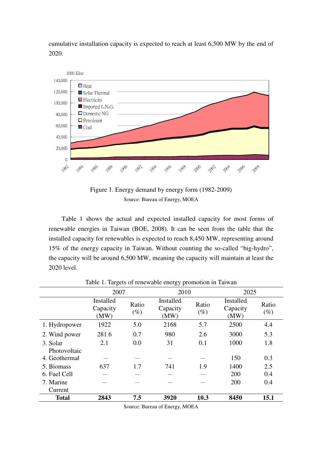cumulative installation capacity is expected to reach at least 6,500 MW by the end of 2020.



Figure 1. Energy demand by energy form (1982-2009) Source: Bureau of Energy, MOEA

Table 1 shows the actual and expected installed capacity for most forms of renewable energies in Taiwan (BOE, 2008). It can be seen from the table that the installed capacity for renewables is expected to reach 8,450 MW, representing around 15% of the energy capacity in Taiwan. Without counting the so-called "big-hydro", the capacity will be around 6,500 MW, meaning the capacity will maintain at least the 2020 level.

|                          | 2007                          |                 | 2010                          |                 | 2025                          |                 |
|--------------------------|-------------------------------|-----------------|-------------------------------|-----------------|-------------------------------|-----------------|
|                          | Installed<br>Capacity<br>(MW) | Ratio<br>$(\%)$ | Installed<br>Capacity<br>(MW) | Ratio<br>$(\%)$ | Installed<br>Capacity<br>(MW) | Ratio<br>$(\%)$ |
| 1. Hydropower            | 1922                          | 5.0             | 2168                          | 5.7             | 2500                          | 4.4             |
| 2. Wind power            | 281.6                         | 0.7             | 980                           | 2.6             | 3000                          | 5.3             |
| 3. Solar<br>Photovoltaic | 2.1                           | 0.0             | 31                            | 0.1             | 1000                          | 1.8             |
| 4. Geothermal            |                               |                 |                               |                 | 150                           | 0.3             |
| 5. Biomass               | 637                           | 1.7             | 741                           | 1.9             | 1400                          | 2.5             |
| 6. Fuel Cell             |                               |                 |                               |                 | 200                           | 0.4             |
| 7. Marine<br>Current     |                               |                 |                               |                 | 200                           | 0.4             |
| <b>Total</b>             | 2843                          | 7.5             | 3920                          | 10.3            | 8450                          | 15.1            |

Table 1. Targets of renewable energy promotion in Taiwan

Source: Bureau of Energy, MOEA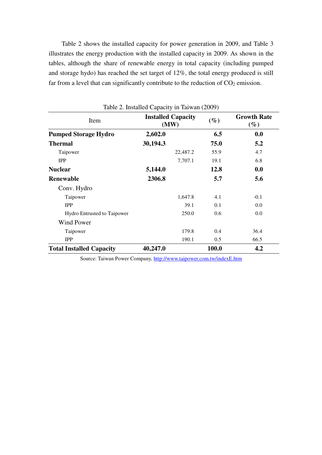Table 2 shows the installed capacity for power generation in 2009, and Table 3 illustrates the energy production with the installed capacity in 2009. As shown in the tables, although the share of renewable energy in total capacity (including pumped and storage hydo) has reached the set target of 12%, the total energy produced is still far from a level that can significantly contribute to the reduction of  $CO<sub>2</sub>$  emission.

|                                 | Table 2. Installed Capacity in Taiwan (2009) |          |        |                              |
|---------------------------------|----------------------------------------------|----------|--------|------------------------------|
| Item                            | <b>Installed Capacity</b><br>(MW)            |          | $(\%)$ | <b>Growth Rate</b><br>$(\%)$ |
| <b>Pumped Storage Hydro</b>     | 2,602.0                                      |          | 6.5    | 0.0                          |
| <b>Thermal</b>                  | 30,194.3                                     |          | 75.0   | 5.2                          |
| Taipower                        |                                              | 22,487.2 | 55.9   | 4.7                          |
| <b>IPP</b>                      |                                              | 7,707.1  | 19.1   | 6.8                          |
| <b>Nuclear</b>                  | 5,144.0                                      |          | 12.8   | 0.0                          |
| <b>Renewable</b>                | 2306.8                                       |          | 5.7    | 5.6                          |
| Conv. Hydro                     |                                              |          |        |                              |
| Taipower                        |                                              | 1,647.8  | 4.1    | $-0.1$                       |
| <b>IPP</b>                      |                                              | 39.1     | 0.1    | 0.0                          |
| Hydro Entrusted to Taipower     |                                              | 250.0    | 0.6    | 0.0                          |
| <b>Wind Power</b>               |                                              |          |        |                              |
| Taipower                        |                                              | 179.8    | 0.4    | 36.4                         |
| <b>IPP</b>                      |                                              | 190.1    | 0.5    | 66.5                         |
| <b>Total Installed Capacity</b> | 40,247.0                                     |          | 100.0  | 4.2                          |

Source: Taiwan Power Company, http://www.taipower.com.tw/indexE.htm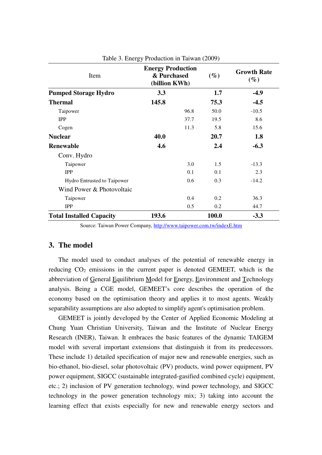| Item                            | <b>Energy Production</b><br>& Purchased<br>(billion KWh) |      | $(\%)$ | <b>Growth Rate</b><br>$(\%)$ |  |
|---------------------------------|----------------------------------------------------------|------|--------|------------------------------|--|
| <b>Pumped Storage Hydro</b>     | 3.3                                                      |      | 1.7    | $-4.9$                       |  |
| <b>Thermal</b>                  | 145.8                                                    |      | 75.3   | $-4.5$                       |  |
| Taipower                        |                                                          | 96.8 | 50.0   | $-10.5$                      |  |
| <b>IPP</b>                      |                                                          | 37.7 | 19.5   | 8.6                          |  |
| Cogen                           |                                                          | 11.3 | 5.8    | 15.6                         |  |
| <b>Nuclear</b>                  | 40.0                                                     |      | 20.7   | 1.8                          |  |
| <b>Renewable</b>                | 4.6                                                      |      | 2.4    | $-6.3$                       |  |
| Conv. Hydro                     |                                                          |      |        |                              |  |
| Taipower                        |                                                          | 3.0  | 1.5    | $-13.3$                      |  |
| <b>IPP</b>                      |                                                          | 0.1  | 0.1    | 2.3                          |  |
| Hydro Entrusted to Taipower     |                                                          | 0.6  | 0.3    | $-14.2$                      |  |
| Wind Power & Photovoltaic       |                                                          |      |        |                              |  |
| Taipower                        |                                                          | 0.4  | 0.2    | 36.3                         |  |
| <b>IPP</b>                      |                                                          | 0.5  | 0.2    | 44.7                         |  |
| <b>Total Installed Capacity</b> | 193.6                                                    |      | 100.0  | $-3.3$                       |  |

Table 3. Energy Production in Taiwan (2009)

Source: Taiwan Power Company, http://www.taipower.com.tw/indexE.htm

# **3. The model**

The model used to conduct analyses of the potential of renewable energy in reducing  $CO<sub>2</sub>$  emissions in the current paper is denoted GEMEET, which is the abbreviation of General Equilibrium Model for Energy, Environment and Technology analysis. Being a CGE model, GEMEET's core describes the operation of the economy based on the optimisation theory and applies it to most agents. Weakly separability assumptions are also adopted to simplify agent's optimisation problem.

GEMEET is jointly developed by the Center of Applied Economic Modeling at Chung Yuan Christian University, Taiwan and the Institute of Nuclear Energy Research (INER), Taiwan. It embraces the basic features of the dynamic TAIGEM model with several important extensions that distinguish it from its predecessors. These include 1) detailed specification of major new and renewable energies, such as bio-ethanol, bio-diesel, solar photovoltaic (PV) products, wind power equipment, PV power equipment, SIGCC (sustainable integrated-gasified combined cycle) equipment, etc.; 2) inclusion of PV generation technology, wind power technology, and SIGCC technology in the power generation technology mix; 3) taking into account the learning effect that exists especially for new and renewable energy sectors and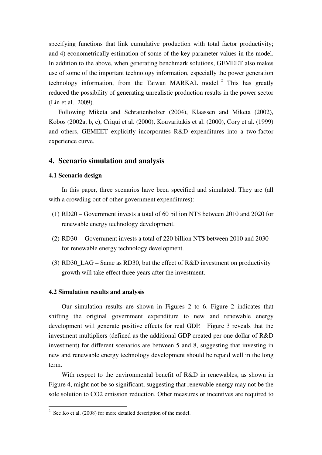specifying functions that link cumulative production with total factor productivity; and 4) econometrically estimation of some of the key parameter values in the model. In addition to the above, when generating benchmark solutions, GEMEET also makes use of some of the important technology information, especially the power generation technology information, from the Taiwan MARKAL model.<sup>2</sup> This has greatly reduced the possibility of generating unrealistic production results in the power sector (Lin et al., 2009).

Following Miketa and Schrattenholzer (2004), Klaassen and Miketa (2002), Kobos (2002a, b, c), Criqui et al. (2000), Kouvaritakis et al. (2000), Cory et al. (1999) and others, GEMEET explicitly incorporates R&D expenditures into a two-factor experience curve.

### **4. Scenario simulation and analysis**

## **4.1 Scenario design**

 In this paper, three scenarios have been specified and simulated. They are (all with a crowding out of other government expenditures):

- (1) RD20 Government invests a total of 60 billion NT\$ between 2010 and 2020 for renewable energy technology development.
- (2) RD30 -- Government invests a total of 220 billion NT\$ between 2010 and 2030 for renewable energy technology development.
- (3) RD30\_LAG Same as RD30, but the effect of R&D investment on productivity growth will take effect three years after the investment.

#### **4.2 Simulation results and analysis**

 Our simulation results are shown in Figures 2 to 6. Figure 2 indicates that shifting the original government expenditure to new and renewable energy development will generate positive effects for real GDP. Figure 3 reveals that the investment multipliers (defined as the additional GDP created per one dollar of R&D investment) for different scenarios are between 5 and 8, suggesting that investing in new and renewable energy technology development should be repaid well in the long term.

With respect to the environmental benefit of R&D in renewables, as shown in Figure 4, might not be so significant, suggesting that renewable energy may not be the sole solution to CO2 emission reduction. Other measures or incentives are required to

<sup>&</sup>lt;sup>2</sup> See Ko et al. (2008) for more detailed description of the model.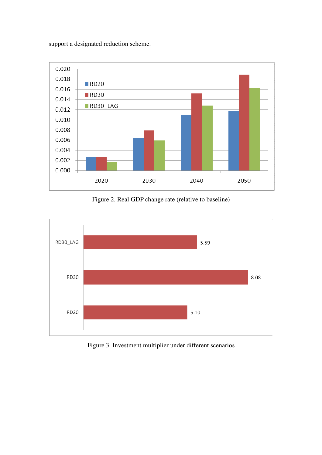support a designated reduction scheme.



Figure 2. Real GDP change rate (relative to baseline)



Figure 3. Investment multiplier under different scenarios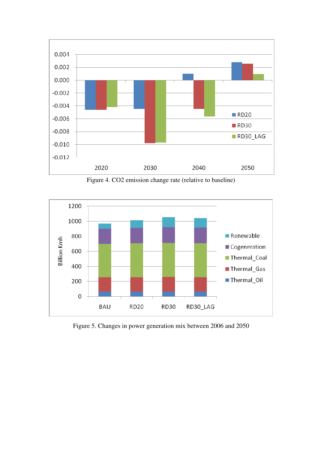

Figure 4. CO2 emission change rate (relative to baseline)



Figure 5. Changes in power generation mix between 2006 and 2050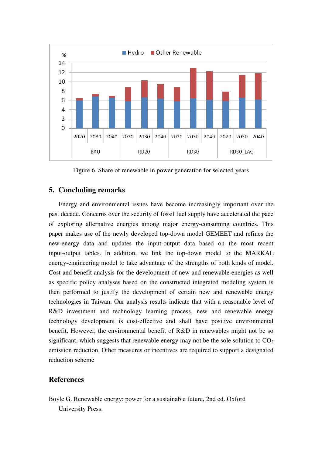

Figure 6. Share of renewable in power generation for selected years

### **5. Concluding remarks**

Energy and environmental issues have become increasingly important over the past decade. Concerns over the security of fossil fuel supply have accelerated the pace of exploring alternative energies among major energy-consuming countries. This paper makes use of the newly developed top-down model GEMEET and refines the new-energy data and updates the input-output data based on the most recent input-output tables. In addition, we link the top-down model to the MARKAL energy-engineering model to take advantage of the strengths of both kinds of model. Cost and benefit analysis for the development of new and renewable energies as well as specific policy analyses based on the constructed integrated modeling system is then performed to justify the development of certain new and renewable energy technologies in Taiwan. Our analysis results indicate that with a reasonable level of R&D investment and technology learning process, new and renewable energy technology development is cost-effective and shall have positive environmental benefit. However, the environmental benefit of R&D in renewables might not be so significant, which suggests that renewable energy may not be the sole solution to  $CO<sub>2</sub>$ emission reduction. Other measures or incentives are required to support a designated reduction scheme

## **References**

Boyle G. Renewable energy: power for a sustainable future, 2nd ed. Oxford University Press.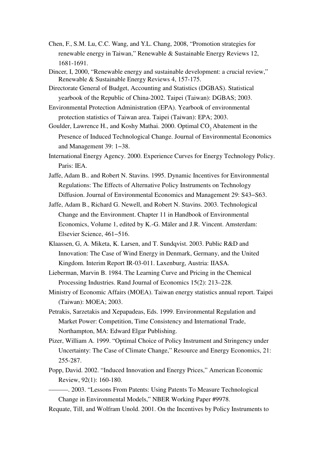- Chen, F., S.M. Lu, C.C. Wang, and Y.L. Chang, 2008, "Promotion strategies for renewable energy in Taiwan," Renewable & Sustainable Energy Reviews 12, 1681-1691.
- Dincer, I, 2000, "Renewable energy and sustainable development: a crucial review," Renewable & Sustainable Energy Reviews 4, 157-175.
- Directorate General of Budget, Accounting and Statistics (DGBAS). Statistical yearbook of the Republic of China-2002. Taipei (Taiwan): DGBAS; 2003.
- Environmental Protection Administration (EPA). Yearbook of environmental protection statistics of Taiwan area. Taipei (Taiwan): EPA; 2003.
- Goulder, Lawrence H., and Koshy Mathai. 2000. Optimal CO<sub>2</sub> Abatement in the Presence of Induced Technological Change. Journal of Environmental Economics and Management 39: 1−38.
- International Energy Agency. 2000. Experience Curves for Energy Technology Policy. Paris: IEA.
- Jaffe, Adam B.. and Robert N. Stavins. 1995. Dynamic Incentives for Environmental Regulations: The Effects of Alternative Policy Instruments on Technology Diffusion. Journal of Environmental Economics and Management 29: S43−S63.
- Jaffe, Adam B., Richard G. Newell, and Robert N. Stavins. 2003. Technological Change and the Environment. Chapter 11 in Handbook of Environmental Economics, Volume 1, edited by K.-G. Mäler and J.R. Vincent. Amsterdam: Elsevier Science, 461−516.
- Klaassen, G, A. Miketa, K. Larsen, and T. Sundqvist. 2003. Public R&D and Innovation: The Case of Wind Energy in Denmark, Germany, and the United Kingdom. Interim Report IR-03-011. Laxenburg, Austria: IIASA.
- Lieberman, Marvin B. 1984. The Learning Curve and Pricing in the Chemical Processing Industries. Rand Journal of Economics 15(2): 213–228.
- Ministry of Economic Affairs (MOEA). Taiwan energy statistics annual report. Taipei (Taiwan): MOEA; 2003.
- Petrakis, Sarzetakis and Xepapadeas, Eds. 1999. Environmental Regulation and Market Power: Competition, Time Consistency and International Trade, Northampton, MA: Edward Elgar Publishing.
- Pizer, William A. 1999. "Optimal Choice of Policy Instrument and Stringency under Uncertainty: The Case of Climate Change," Resource and Energy Economics, 21: 255-287.
- Popp, David. 2002. "Induced Innovation and Energy Prices," American Economic Review, 92(1): 160-180.
- ———. 2003. "Lessons From Patents: Using Patents To Measure Technological Change in Environmental Models," NBER Working Paper #9978.
- Requate, Till, and Wolfram Unold. 2001. On the Incentives by Policy Instruments to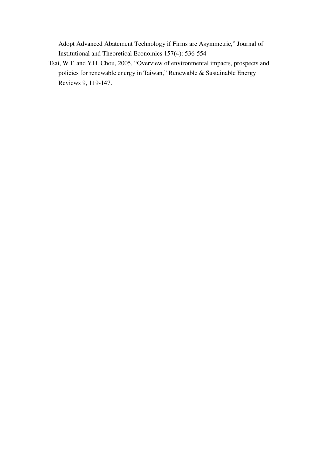Adopt Advanced Abatement Technology if Firms are Asymmetric," Journal of Institutional and Theoretical Economics 157(4): 536-554

Tsai, W.T. and Y.H. Chou, 2005, "Overview of environmental impacts, prospects and policies for renewable energy in Taiwan," Renewable & Sustainable Energy Reviews 9, 119-147.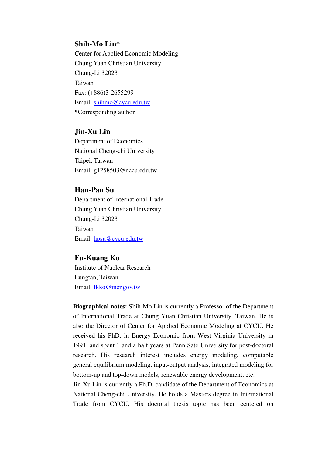## **Shih-Mo Lin\***

 Center for Applied Economic Modeling Chung Yuan Christian University Chung-Li 32023 Taiwan Fax: (+886)3-2655299 Email: shihmo@cycu.edu.tw \*Corresponding author

# **Jin-Xu Lin**

Department of Economics National Cheng-chi University Taipei, Taiwan Email: g1258503@nccu.edu.tw

# **Han-Pan Su**

Department of International Trade Chung Yuan Christian University Chung-Li 32023 Taiwan Email: hpsu@cycu.edu.tw

# **Fu-Kuang Ko**

Institute of Nuclear Research Lungtan, Taiwan Email: fkko@iner.gov.tw

**Biographical notes:** Shih-Mo Lin is currently a Professor of the Department of International Trade at Chung Yuan Christian University, Taiwan. He is also the Director of Center for Applied Economic Modeling at CYCU. He received his PhD. in Energy Economic from West Virginia University in 1991, and spent 1 and a half years at Penn Sate University for post-doctoral research. His research interest includes energy modeling, computable general equilibrium modeling, input-output analysis, integrated modeling for bottom-up and top-down models, renewable energy development, etc.

Jin-Xu Lin is currently a Ph.D. candidate of the Department of Economics at National Cheng-chi University. He holds a Masters degree in International Trade from CYCU. His doctoral thesis topic has been centered on